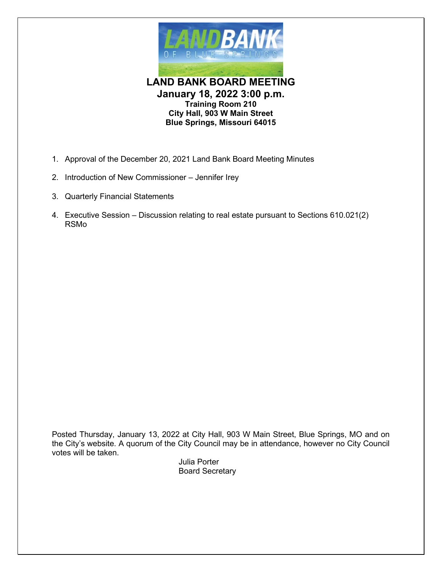

**LAND BANK BOARD MEETING January 18, 2022 3:00 p.m. Training Room 210 City Hall, 903 W Main Street Blue Springs, Missouri 64015**

- 1. Approval of the December 20, 2021 Land Bank Board Meeting Minutes
- 2. Introduction of New Commissioner Jennifer Irey
- 3. Quarterly Financial Statements
- 4. Executive Session Discussion relating to real estate pursuant to Sections 610.021(2) RSMo

Posted Thursday, January 13, 2022 at City Hall, 903 W Main Street, Blue Springs, MO and on the City's website. A quorum of the City Council may be in attendance, however no City Council votes will be taken.

Julia Porter Board Secretary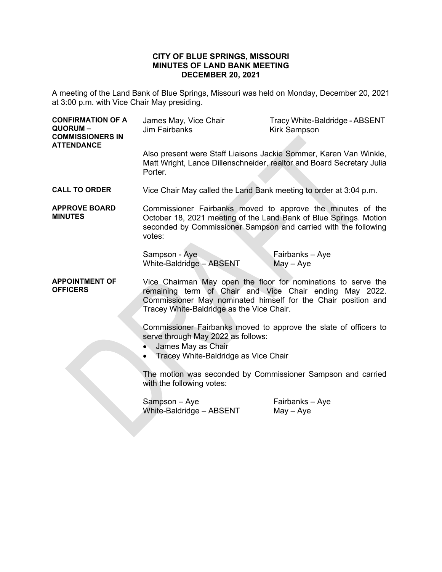#### **CITY OF BLUE SPRINGS, MISSOURI MINUTES OF LAND BANK MEETING DECEMBER 20, 2021**

A meeting of the Land Bank of Blue Springs, Missouri was held on Monday, December 20, 2021 at 3:00 p.m. with Vice Chair May presiding.

| <b>CONFIRMATION OF A</b><br>QUORUM-<br><b>COMMISSIONERS IN</b><br><b>ATTENDANCE</b>      | James May, Vice Chair<br><b>Jim Fairbanks</b>                                                                                                                                                                                          | Tracy White-Baldridge - ABSENT<br><b>Kirk Sampson</b> |  |
|------------------------------------------------------------------------------------------|----------------------------------------------------------------------------------------------------------------------------------------------------------------------------------------------------------------------------------------|-------------------------------------------------------|--|
|                                                                                          | Also present were Staff Liaisons Jackie Sommer, Karen Van Winkle,<br>Matt Wright, Lance Dillenschneider, realtor and Board Secretary Julia<br>Porter.                                                                                  |                                                       |  |
| <b>CALL TO ORDER</b>                                                                     | Vice Chair May called the Land Bank meeting to order at 3:04 p.m.                                                                                                                                                                      |                                                       |  |
| <b>APPROVE BOARD</b><br><b>MINUTES</b>                                                   | Commissioner Fairbanks moved to approve the minutes of the<br>October 18, 2021 meeting of the Land Bank of Blue Springs. Motion<br>seconded by Commissioner Sampson and carried with the following<br>votes:                           |                                                       |  |
|                                                                                          | Sampson - Aye<br>White-Baldridge - ABSENT                                                                                                                                                                                              | Fairbanks – Aye<br>May - Aye                          |  |
| <b>APPOINTMENT OF</b><br><b>OFFICERS</b>                                                 | Vice Chairman May open the floor for nominations to serve the<br>remaining term of Chair and Vice Chair ending May 2022.<br>Commissioner May nominated himself for the Chair position and<br>Tracey White-Baldridge as the Vice Chair. |                                                       |  |
|                                                                                          | Commissioner Fairbanks moved to approve the slate of officers to<br>serve through May 2022 as follows:<br>James May as Chair<br>Tracey White-Baldridge as Vice Chair                                                                   |                                                       |  |
| The motion was seconded by Commissioner Sampson and carried<br>with the following votes: |                                                                                                                                                                                                                                        |                                                       |  |
|                                                                                          | Sampson - Aye<br>White-Baldridge - ABSENT                                                                                                                                                                                              | Fairbanks - Aye<br>$May - Aye$                        |  |
|                                                                                          |                                                                                                                                                                                                                                        |                                                       |  |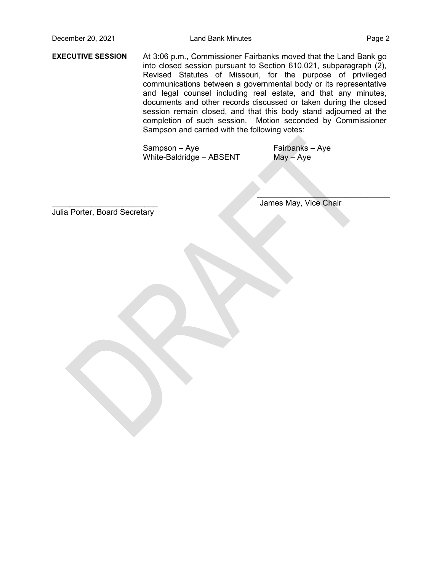**EXECUTIVE SESSION** At 3:06 p.m., Commissioner Fairbanks moved that the Land Bank go into closed session pursuant to Section 610.021, subparagraph (2), Revised Statutes of Missouri, for the purpose of privileged communications between a governmental body or its representative and legal counsel including real estate, and that any minutes, documents and other records discussed or taken during the closed session remain closed, and that this body stand adjourned at the completion of such session. Motion seconded by Commissioner Sampson and carried with the following votes:

> Sampson – Aye White-Baldridge – ABSENT

Fairbanks – Aye May – Aye

Julia Porter, Board Secretary

James May, Vice Chair

 $\mathcal{L}=\mathcal{L}=\mathcal{L}=\mathcal{L}=\mathcal{L}=\mathcal{L}=\mathcal{L}=\mathcal{L}=\mathcal{L}=\mathcal{L}=\mathcal{L}=\mathcal{L}=\mathcal{L}=\mathcal{L}=\mathcal{L}=\mathcal{L}=\mathcal{L}=\mathcal{L}=\mathcal{L}=\mathcal{L}=\mathcal{L}=\mathcal{L}=\mathcal{L}=\mathcal{L}=\mathcal{L}=\mathcal{L}=\mathcal{L}=\mathcal{L}=\mathcal{L}=\mathcal{L}=\mathcal{L}=\mathcal{L}=\mathcal{L}=\mathcal{L}=\mathcal{L}=\mathcal{L}=\mathcal{$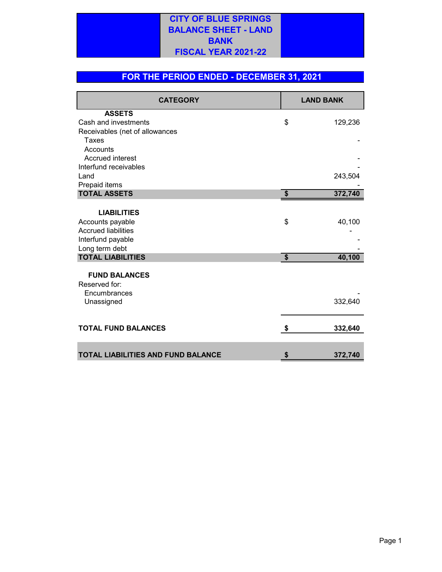### **CITY OF BLUE SPRINGS BALANCE SHEET - LAND BANK FISCAL YEAR 2021-22**

#### **FOR THE PERIOD ENDED - DECEMBER 31, 2021**

| <b>CATEGORY</b>                    |                             | <b>LAND BANK</b> |  |
|------------------------------------|-----------------------------|------------------|--|
| <b>ASSETS</b>                      |                             |                  |  |
| Cash and investments               | \$                          | 129,236          |  |
| Receivables (net of allowances     |                             |                  |  |
| Taxes                              |                             |                  |  |
| Accounts                           |                             |                  |  |
| <b>Accrued interest</b>            |                             |                  |  |
| Interfund receivables              |                             |                  |  |
| Land                               |                             | 243,504          |  |
| Prepaid items                      |                             |                  |  |
| <b>TOTAL ASSETS</b>                | $\boldsymbol{\hat{\theta}}$ | 372,740          |  |
|                                    |                             |                  |  |
| <b>LIABILITIES</b>                 |                             |                  |  |
| Accounts payable                   | \$                          | 40,100           |  |
| <b>Accrued liabilities</b>         |                             |                  |  |
| Interfund payable                  |                             |                  |  |
| Long term debt                     |                             |                  |  |
| <b>TOTAL LIABILITIES</b>           | \$                          | 40,100           |  |
| <b>FUND BALANCES</b>               |                             |                  |  |
| Reserved for:                      |                             |                  |  |
| Encumbrances                       |                             |                  |  |
| Unassigned                         |                             | 332,640          |  |
|                                    |                             |                  |  |
|                                    |                             |                  |  |
| <b>TOTAL FUND BALANCES</b>         | \$                          | 332,640          |  |
|                                    |                             |                  |  |
| TOTAL LIABILITIES AND FUND BALANCE |                             | 372,740          |  |